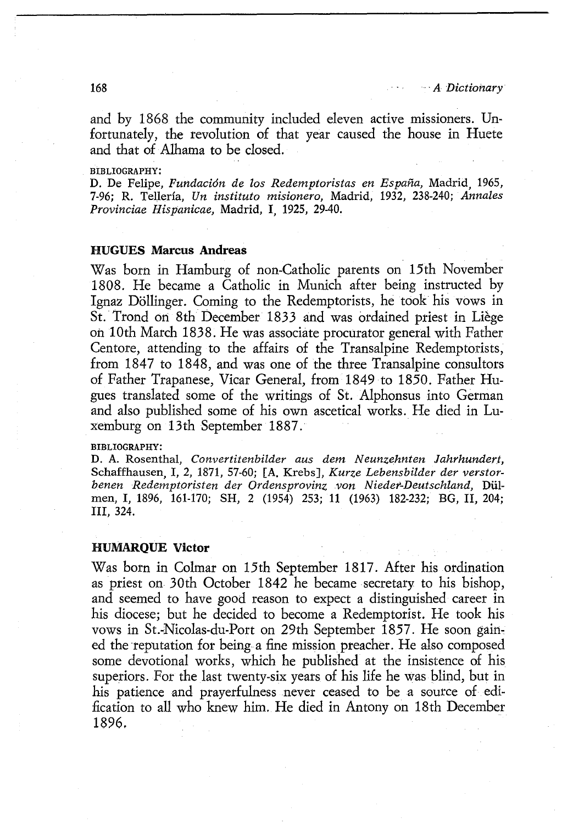## **HUMARQUE Victor**

Was born in Colmar on 15th September 1817. After his ordination as priest on 30th October 1842 he became secretary to his bishop, and seemed to have good reason to expect a distinguished career in his diocese; but he decided to become a Redemptorist. He took his vows in St.-Nicolas-du-Port on 29th September 1857. He soon gained the reputation for being a fine mission preacher. He also composed some devotional works, which he published at the insistence of his superiors. For the last twenty-six years of his life he was blind, but in his patience and prayerfulness never ceased to be a source of edification to all who knew him. He died in Antony on 18th December 1896.